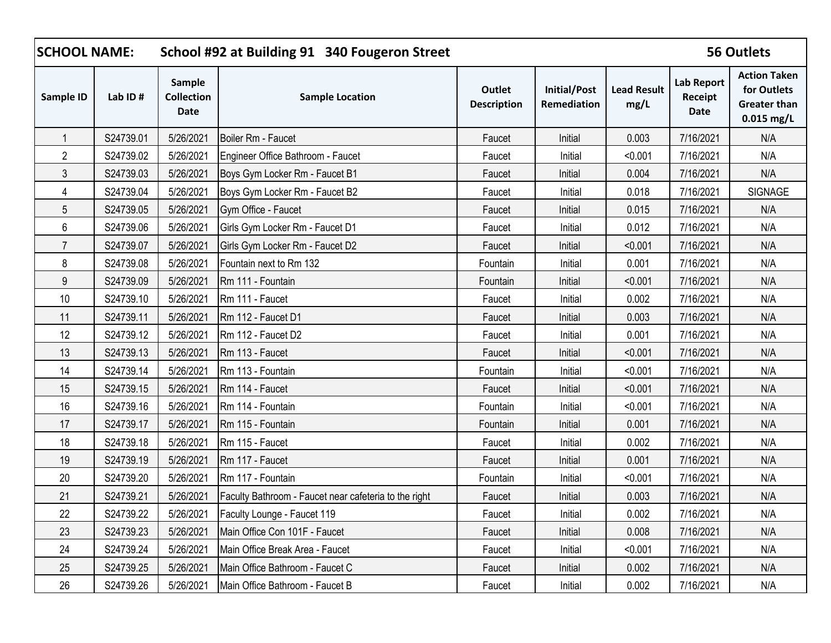| <b>SCHOOL NAME:</b> |           |                                            | School #92 at Building 91 340 Fougeron Street         |                              |                             |                            |                                      | <b>56 Outlets</b>                                                         |
|---------------------|-----------|--------------------------------------------|-------------------------------------------------------|------------------------------|-----------------------------|----------------------------|--------------------------------------|---------------------------------------------------------------------------|
| Sample ID           | Lab ID#   | Sample<br><b>Collection</b><br><b>Date</b> | <b>Sample Location</b>                                | Outlet<br><b>Description</b> | Initial/Post<br>Remediation | <b>Lead Result</b><br>mg/L | <b>Lab Report</b><br>Receipt<br>Date | <b>Action Taken</b><br>for Outlets<br><b>Greater than</b><br>$0.015$ mg/L |
|                     | S24739.01 | 5/26/2021                                  | Boiler Rm - Faucet                                    | Faucet                       | Initial                     | 0.003                      | 7/16/2021                            | N/A                                                                       |
| $\overline{2}$      | S24739.02 | 5/26/2021                                  | Engineer Office Bathroom - Faucet                     | Faucet                       | Initial                     | < 0.001                    | 7/16/2021                            | N/A                                                                       |
| 3                   | S24739.03 | 5/26/2021                                  | Boys Gym Locker Rm - Faucet B1                        | Faucet                       | Initial                     | 0.004                      | 7/16/2021                            | N/A                                                                       |
| 4                   | S24739.04 | 5/26/2021                                  | Boys Gym Locker Rm - Faucet B2                        | Faucet                       | Initial                     | 0.018                      | 7/16/2021                            | SIGNAGE                                                                   |
| 5                   | S24739.05 | 5/26/2021                                  | Gym Office - Faucet                                   | Faucet                       | Initial                     | 0.015                      | 7/16/2021                            | N/A                                                                       |
| 6                   | S24739.06 | 5/26/2021                                  | Girls Gym Locker Rm - Faucet D1                       | Faucet                       | Initial                     | 0.012                      | 7/16/2021                            | N/A                                                                       |
| $\overline{7}$      | S24739.07 | 5/26/2021                                  | Girls Gym Locker Rm - Faucet D2                       | Faucet                       | Initial                     | < 0.001                    | 7/16/2021                            | N/A                                                                       |
| 8                   | S24739.08 | 5/26/2021                                  | Fountain next to Rm 132                               | Fountain                     | Initial                     | 0.001                      | 7/16/2021                            | N/A                                                                       |
| $9\,$               | S24739.09 | 5/26/2021                                  | Rm 111 - Fountain                                     | Fountain                     | Initial                     | < 0.001                    | 7/16/2021                            | N/A                                                                       |
| 10                  | S24739.10 | 5/26/2021                                  | Rm 111 - Faucet                                       | Faucet                       | Initial                     | 0.002                      | 7/16/2021                            | N/A                                                                       |
| 11                  | S24739.11 | 5/26/2021                                  | Rm 112 - Faucet D1                                    | Faucet                       | Initial                     | 0.003                      | 7/16/2021                            | N/A                                                                       |
| 12                  | S24739.12 | 5/26/2021                                  | Rm 112 - Faucet D2                                    | Faucet                       | Initial                     | 0.001                      | 7/16/2021                            | N/A                                                                       |
| 13                  | S24739.13 | 5/26/2021                                  | Rm 113 - Faucet                                       | Faucet                       | Initial                     | < 0.001                    | 7/16/2021                            | N/A                                                                       |
| 14                  | S24739.14 | 5/26/2021                                  | Rm 113 - Fountain                                     | Fountain                     | Initial                     | < 0.001                    | 7/16/2021                            | N/A                                                                       |
| 15                  | S24739.15 | 5/26/2021                                  | Rm 114 - Faucet                                       | Faucet                       | Initial                     | < 0.001                    | 7/16/2021                            | N/A                                                                       |
| 16                  | S24739.16 | 5/26/2021                                  | Rm 114 - Fountain                                     | Fountain                     | Initial                     | < 0.001                    | 7/16/2021                            | N/A                                                                       |
| 17                  | S24739.17 | 5/26/2021                                  | Rm 115 - Fountain                                     | Fountain                     | Initial                     | 0.001                      | 7/16/2021                            | N/A                                                                       |
| 18                  | S24739.18 | 5/26/2021                                  | Rm 115 - Faucet                                       | Faucet                       | Initial                     | 0.002                      | 7/16/2021                            | N/A                                                                       |
| 19                  | S24739.19 | 5/26/2021                                  | Rm 117 - Faucet                                       | Faucet                       | Initial                     | 0.001                      | 7/16/2021                            | N/A                                                                       |
| 20                  | S24739.20 | 5/26/2021                                  | Rm 117 - Fountain                                     | Fountain                     | Initial                     | < 0.001                    | 7/16/2021                            | N/A                                                                       |
| 21                  | S24739.21 | 5/26/2021                                  | Faculty Bathroom - Faucet near cafeteria to the right | Faucet                       | Initial                     | 0.003                      | 7/16/2021                            | N/A                                                                       |
| 22                  | S24739.22 | 5/26/2021                                  | Faculty Lounge - Faucet 119                           | Faucet                       | Initial                     | 0.002                      | 7/16/2021                            | N/A                                                                       |
| 23                  | S24739.23 | 5/26/2021                                  | Main Office Con 101F - Faucet                         | Faucet                       | Initial                     | 0.008                      | 7/16/2021                            | N/A                                                                       |
| 24                  | S24739.24 | 5/26/2021                                  | Main Office Break Area - Faucet                       | Faucet                       | Initial                     | < 0.001                    | 7/16/2021                            | N/A                                                                       |
| 25                  | S24739.25 | 5/26/2021                                  | Main Office Bathroom - Faucet C                       | Faucet                       | Initial                     | 0.002                      | 7/16/2021                            | N/A                                                                       |
| 26                  | S24739.26 | 5/26/2021                                  | Main Office Bathroom - Faucet B                       | Faucet                       | Initial                     | 0.002                      | 7/16/2021                            | N/A                                                                       |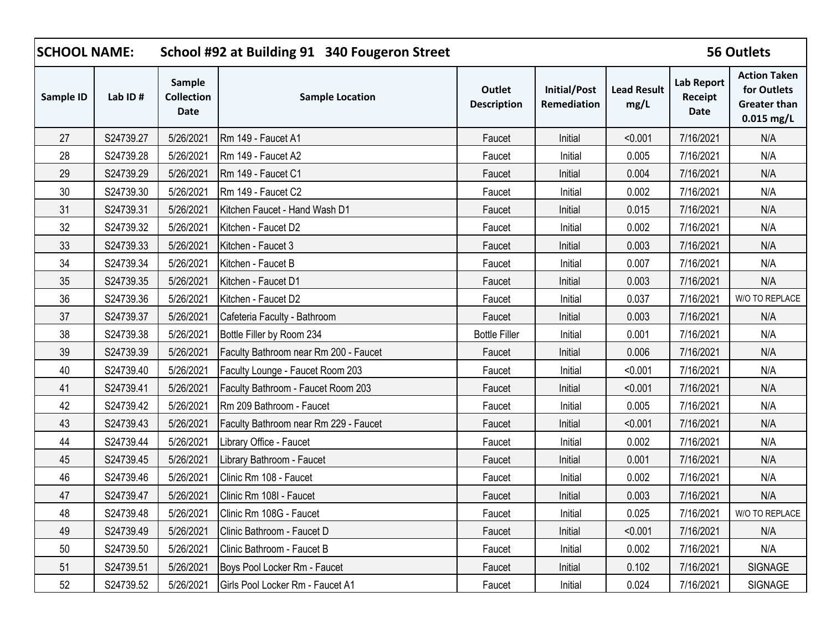| <b>SCHOOL NAME:</b> |           |                                     | School #92 at Building 91 340 Fougeron Street |                              |                             |                            |                                      | <b>56 Outlets</b>                                                         |
|---------------------|-----------|-------------------------------------|-----------------------------------------------|------------------------------|-----------------------------|----------------------------|--------------------------------------|---------------------------------------------------------------------------|
| Sample ID           | Lab ID#   | Sample<br><b>Collection</b><br>Date | <b>Sample Location</b>                        | Outlet<br><b>Description</b> | Initial/Post<br>Remediation | <b>Lead Result</b><br>mg/L | <b>Lab Report</b><br>Receipt<br>Date | <b>Action Taken</b><br>for Outlets<br><b>Greater than</b><br>$0.015$ mg/L |
| 27                  | S24739.27 | 5/26/2021                           | Rm 149 - Faucet A1                            | Faucet                       | Initial                     | < 0.001                    | 7/16/2021                            | N/A                                                                       |
| 28                  | S24739.28 | 5/26/2021                           | Rm 149 - Faucet A2                            | Faucet                       | Initial                     | 0.005                      | 7/16/2021                            | N/A                                                                       |
| 29                  | S24739.29 | 5/26/2021                           | Rm 149 - Faucet C1                            | Faucet                       | Initial                     | 0.004                      | 7/16/2021                            | N/A                                                                       |
| 30                  | S24739.30 | 5/26/2021                           | Rm 149 - Faucet C2                            | Faucet                       | Initial                     | 0.002                      | 7/16/2021                            | N/A                                                                       |
| 31                  | S24739.31 | 5/26/2021                           | Kitchen Faucet - Hand Wash D1                 | Faucet                       | Initial                     | 0.015                      | 7/16/2021                            | N/A                                                                       |
| 32                  | S24739.32 | 5/26/2021                           | Kitchen - Faucet D2                           | Faucet                       | Initial                     | 0.002                      | 7/16/2021                            | N/A                                                                       |
| 33                  | S24739.33 | 5/26/2021                           | Kitchen - Faucet 3                            | Faucet                       | Initial                     | 0.003                      | 7/16/2021                            | N/A                                                                       |
| 34                  | S24739.34 | 5/26/2021                           | Kitchen - Faucet B                            | Faucet                       | Initial                     | 0.007                      | 7/16/2021                            | N/A                                                                       |
| 35                  | S24739.35 | 5/26/2021                           | Kitchen - Faucet D1                           | Faucet                       | Initial                     | 0.003                      | 7/16/2021                            | N/A                                                                       |
| 36                  | S24739.36 | 5/26/2021                           | Kitchen - Faucet D2                           | Faucet                       | Initial                     | 0.037                      | 7/16/2021                            | W/O TO REPLACE                                                            |
| 37                  | S24739.37 | 5/26/2021                           | Cafeteria Faculty - Bathroom                  | Faucet                       | Initial                     | 0.003                      | 7/16/2021                            | N/A                                                                       |
| 38                  | S24739.38 | 5/26/2021                           | Bottle Filler by Room 234                     | <b>Bottle Filler</b>         | Initial                     | 0.001                      | 7/16/2021                            | N/A                                                                       |
| 39                  | S24739.39 | 5/26/2021                           | Faculty Bathroom near Rm 200 - Faucet         | Faucet                       | Initial                     | 0.006                      | 7/16/2021                            | N/A                                                                       |
| 40                  | S24739.40 | 5/26/2021                           | Faculty Lounge - Faucet Room 203              | Faucet                       | Initial                     | < 0.001                    | 7/16/2021                            | N/A                                                                       |
| 41                  | S24739.41 | 5/26/2021                           | Faculty Bathroom - Faucet Room 203            | Faucet                       | Initial                     | < 0.001                    | 7/16/2021                            | N/A                                                                       |
| 42                  | S24739.42 | 5/26/2021                           | Rm 209 Bathroom - Faucet                      | Faucet                       | Initial                     | 0.005                      | 7/16/2021                            | N/A                                                                       |
| 43                  | S24739.43 | 5/26/2021                           | Faculty Bathroom near Rm 229 - Faucet         | Faucet                       | Initial                     | < 0.001                    | 7/16/2021                            | N/A                                                                       |
| 44                  | S24739.44 | 5/26/2021                           | Library Office - Faucet                       | Faucet                       | Initial                     | 0.002                      | 7/16/2021                            | N/A                                                                       |
| 45                  | S24739.45 | 5/26/2021                           | Library Bathroom - Faucet                     | Faucet                       | Initial                     | 0.001                      | 7/16/2021                            | N/A                                                                       |
| 46                  | S24739.46 | 5/26/2021                           | Clinic Rm 108 - Faucet                        | Faucet                       | Initial                     | 0.002                      | 7/16/2021                            | N/A                                                                       |
| 47                  | S24739.47 | 5/26/2021                           | Clinic Rm 108I - Faucet                       | Faucet                       | Initial                     | 0.003                      | 7/16/2021                            | N/A                                                                       |
| 48                  | S24739.48 | 5/26/2021                           | Clinic Rm 108G - Faucet                       | Faucet                       | Initial                     | 0.025                      | 7/16/2021                            | W/O TO REPLACE                                                            |
| 49                  | S24739.49 | 5/26/2021                           | Clinic Bathroom - Faucet D                    | Faucet                       | Initial                     | < 0.001                    | 7/16/2021                            | N/A                                                                       |
| 50                  | S24739.50 | 5/26/2021                           | Clinic Bathroom - Faucet B                    | Faucet                       | Initial                     | 0.002                      | 7/16/2021                            | N/A                                                                       |
| 51                  | S24739.51 | 5/26/2021                           | Boys Pool Locker Rm - Faucet                  | Faucet                       | Initial                     | 0.102                      | 7/16/2021                            | <b>SIGNAGE</b>                                                            |
| 52                  | S24739.52 | 5/26/2021                           | Girls Pool Locker Rm - Faucet A1              | Faucet                       | Initial                     | 0.024                      | 7/16/2021                            | <b>SIGNAGE</b>                                                            |